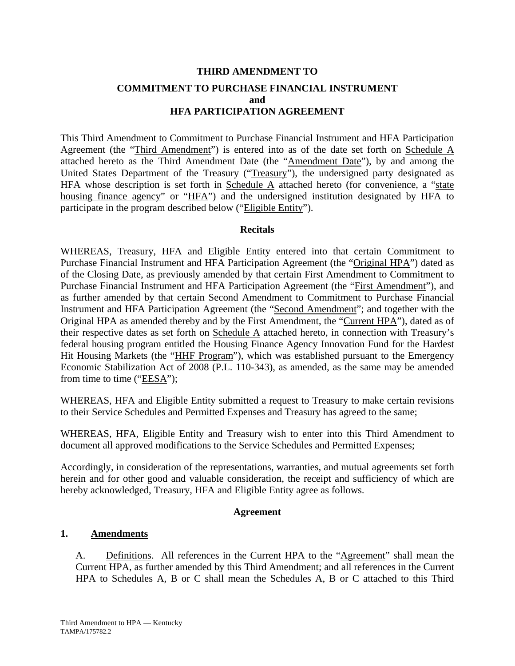# **THIRD AMENDMENT TO COMMITMENT TO PURCHASE FINANCIAL INSTRUMENT and HFA PARTICIPATION AGREEMENT**

This Third Amendment to Commitment to Purchase Financial Instrument and HFA Participation Agreement (the "Third Amendment") is entered into as of the date set forth on Schedule A attached hereto as the Third Amendment Date (the "Amendment Date"), by and among the United States Department of the Treasury ("Treasury"), the undersigned party designated as HFA whose description is set forth in Schedule  $\overline{A}$  attached hereto (for convenience, a "state housing finance agency" or "HFA") and the undersigned institution designated by HFA to participate in the program described below ("Eligible Entity").

## **Recitals**

WHEREAS, Treasury, HFA and Eligible Entity entered into that certain Commitment to Purchase Financial Instrument and HFA Participation Agreement (the "Original HPA") dated as of the Closing Date, as previously amended by that certain First Amendment to Commitment to Purchase Financial Instrument and HFA Participation Agreement (the "First Amendment"), and as further amended by that certain Second Amendment to Commitment to Purchase Financial Instrument and HFA Participation Agreement (the "Second Amendment"; and together with the Original HPA as amended thereby and by the First Amendment, the "Current HPA"), dated as of their respective dates as set forth on Schedule A attached hereto, in connection with Treasury's federal housing program entitled the Housing Finance Agency Innovation Fund for the Hardest Hit Housing Markets (the "HHF Program"), which was established pursuant to the Emergency Economic Stabilization Act of 2008 (P.L. 110-343), as amended, as the same may be amended from time to time (" $EESA$ ");

WHEREAS, HFA and Eligible Entity submitted a request to Treasury to make certain revisions to their Service Schedules and Permitted Expenses and Treasury has agreed to the same;

WHEREAS, HFA, Eligible Entity and Treasury wish to enter into this Third Amendment to document all approved modifications to the Service Schedules and Permitted Expenses;

Accordingly, in consideration of the representations, warranties, and mutual agreements set forth herein and for other good and valuable consideration, the receipt and sufficiency of which are hereby acknowledged, Treasury, HFA and Eligible Entity agree as follows.

## **Agreement**

## **1. Amendments**

A. Definitions. All references in the Current HPA to the "Agreement" shall mean the Current HPA, as further amended by this Third Amendment; and all references in the Current HPA to Schedules A, B or C shall mean the Schedules A, B or C attached to this Third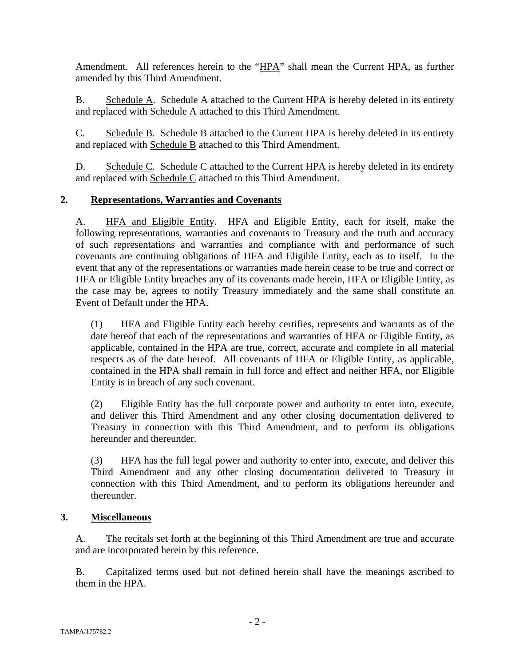Amendment. All references herein to the "HPA" shall mean the Current HPA, as further amended by this Third Amendment.

B. Schedule A. Schedule A attached to the Current HPA is hereby deleted in its entirety and replaced with Schedule A attached to this Third Amendment.

C. Schedule B. Schedule B attached to the Current HPA is hereby deleted in its entirety and replaced with Schedule B attached to this Third Amendment.

D. Schedule C. Schedule C attached to the Current HPA is hereby deleted in its entirety and replaced with Schedule C attached to this Third Amendment.

## **2. Representations, Warranties and Covenants**

A. HFA and Eligible Entity. HFA and Eligible Entity, each for itself, make the following representations, warranties and covenants to Treasury and the truth and accuracy of such representations and warranties and compliance with and performance of such covenants are continuing obligations of HFA and Eligible Entity, each as to itself. In the event that any of the representations or warranties made herein cease to be true and correct or HFA or Eligible Entity breaches any of its covenants made herein, HFA or Eligible Entity, as the case may be, agrees to notify Treasury immediately and the same shall constitute an Event of Default under the HPA.

(1) HFA and Eligible Entity each hereby certifies, represents and warrants as of the date hereof that each of the representations and warranties of HFA or Eligible Entity, as applicable, contained in the HPA are true, correct, accurate and complete in all material respects as of the date hereof. All covenants of HFA or Eligible Entity, as applicable, contained in the HPA shall remain in full force and effect and neither HFA, nor Eligible Entity is in breach of any such covenant.

(2) Eligible Entity has the full corporate power and authority to enter into, execute, and deliver this Third Amendment and any other closing documentation delivered to Treasury in connection with this Third Amendment, and to perform its obligations hereunder and thereunder.

(3) HFA has the full legal power and authority to enter into, execute, and deliver this Third Amendment and any other closing documentation delivered to Treasury in connection with this Third Amendment, and to perform its obligations hereunder and thereunder.

## **3. Miscellaneous**

A. The recitals set forth at the beginning of this Third Amendment are true and accurate and are incorporated herein by this reference.

B. Capitalized terms used but not defined herein shall have the meanings ascribed to them in the HPA.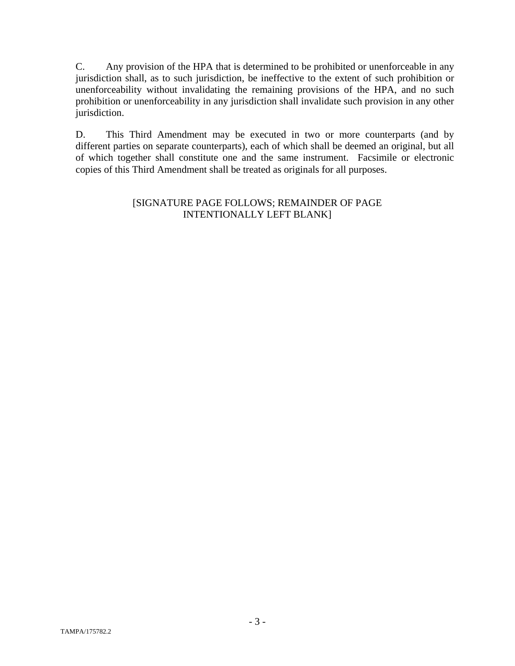C. Any provision of the HPA that is determined to be prohibited or unenforceable in any jurisdiction shall, as to such jurisdiction, be ineffective to the extent of such prohibition or unenforceability without invalidating the remaining provisions of the HPA, and no such prohibition or unenforceability in any jurisdiction shall invalidate such provision in any other jurisdiction.

D. This Third Amendment may be executed in two or more counterparts (and by different parties on separate counterparts), each of which shall be deemed an original, but all of which together shall constitute one and the same instrument. Facsimile or electronic copies of this Third Amendment shall be treated as originals for all purposes.

## [SIGNATURE PAGE FOLLOWS; REMAINDER OF PAGE INTENTIONALLY LEFT BLANK]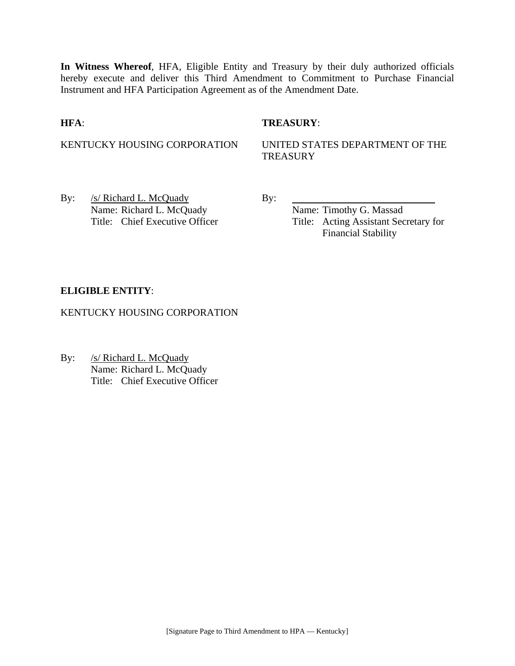**In Witness Whereof**, HFA, Eligible Entity and Treasury by their duly authorized officials hereby execute and deliver this Third Amendment to Commitment to Purchase Financial Instrument and HFA Participation Agreement as of the Amendment Date.

## **HFA**: **TREASURY**:

KENTUCKY HOUSING CORPORATION UNITED STATES DEPARTMENT OF THE **TREASURY** 

By: /s/ Richard L. McQuady By: Name: Richard L. McQuady Name: Timothy G. Massad

Title: Chief Executive Officer Title: Acting Assistant Secretary for Financial Stability

## **ELIGIBLE ENTITY**:

KENTUCKY HOUSING CORPORATION

By: /s/ Richard L. McQuady Name: Richard L. McQuady Title: Chief Executive Officer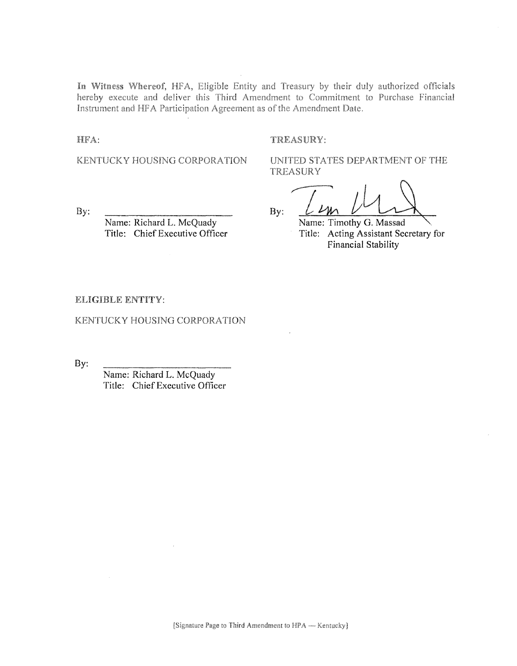In Witness Whereof, HFA, Eligible Entity and Treasury by their duly authorized officials hereby execute and deliver this Third Amendment to Commitment to Purchase Financial Instrument and HFA Participation Agreement as of the Amendment Date.

HFA:

#### TREASURY:

KENTUCKY HOUSING CORPORATION

UNITED STATES DEPARTMENT OF THE **TREASURY** 

By:

Name: Richard L. McQuady Title: Chief Executive Officer

 $By:$ 

Name: Timothy G. Massad Title: Acting Assistant Secretary for Financial Stability

#### ELIGIBLE ENTITY:

KENTUCKY HOUSING CORPORATION

By:

Name: Richard L. McQuady Title: Chief Executive Officer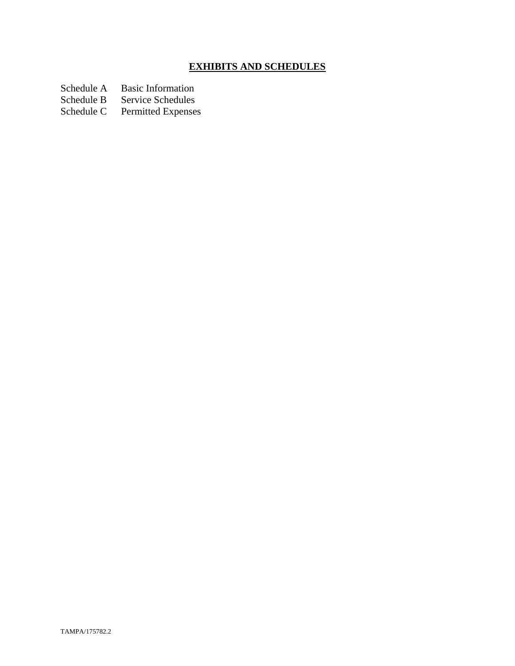# **EXHIBITS AND SCHEDULES**

Schedule A Basic Information<br>Schedule B Service Schedules

Schedule B Service Schedules<br>Schedule C Permitted Expenses

Permitted Expenses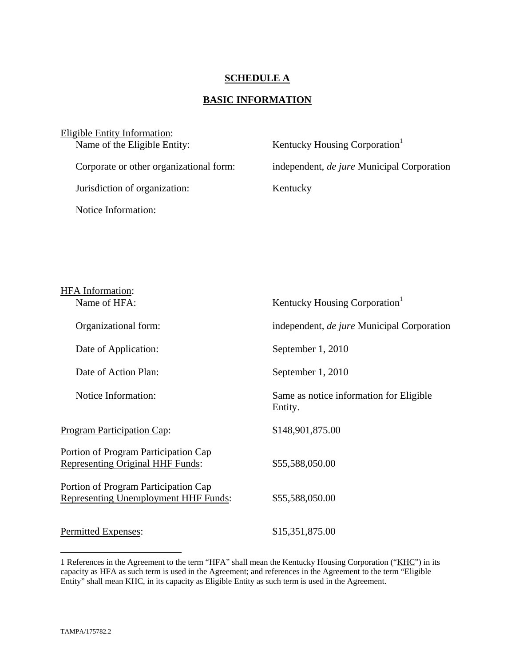## **SCHEDULE A**

# **BASIC INFORMATION**

| Eligible Entity Information:            |                                                   |
|-----------------------------------------|---------------------------------------------------|
| Name of the Eligible Entity:            | Kentucky Housing Corporation <sup>1</sup>         |
|                                         |                                                   |
| Corporate or other organizational form: | independent, <i>de jure</i> Municipal Corporation |
|                                         |                                                   |
| Jurisdiction of organization:           | Kentucky                                          |
|                                         |                                                   |
| Notice Information:                     |                                                   |
|                                         |                                                   |

| <b>HFA</b> Information:<br>Name of HFA:                                             | Kentucky Housing Corporation <sup>1</sup>          |
|-------------------------------------------------------------------------------------|----------------------------------------------------|
| Organizational form:                                                                | independent, de jure Municipal Corporation         |
| Date of Application:                                                                | September 1, 2010                                  |
| Date of Action Plan:                                                                | September 1, 2010                                  |
| Notice Information:                                                                 | Same as notice information for Eligible<br>Entity. |
| <b>Program Participation Cap:</b>                                                   | \$148,901,875.00                                   |
| Portion of Program Participation Cap<br><b>Representing Original HHF Funds:</b>     | \$55,588,050.00                                    |
| Portion of Program Participation Cap<br><b>Representing Unemployment HHF Funds:</b> | \$55,588,050.00                                    |
| Permitted Expenses:                                                                 | \$15,351,875.00                                    |

1

<sup>1</sup> References in the Agreement to the term "HFA" shall mean the Kentucky Housing Corporation ("KHC") in its capacity as HFA as such term is used in the Agreement; and references in the Agreement to the term "Eligible Entity" shall mean KHC, in its capacity as Eligible Entity as such term is used in the Agreement.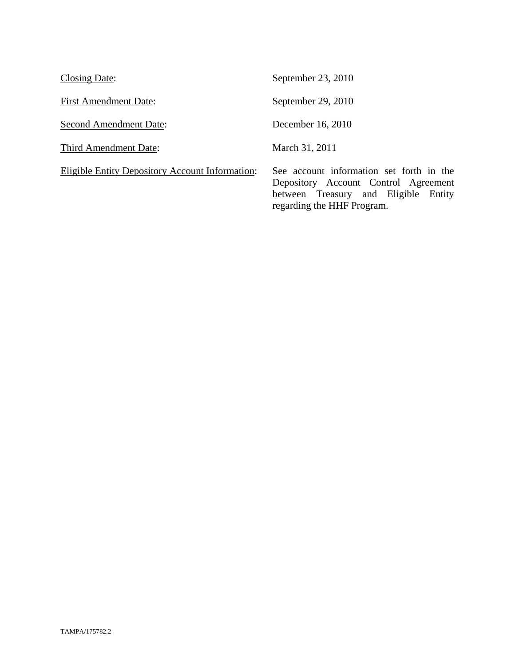| Closing Date:                                   | September 23, 2010                                                                                                                                     |
|-------------------------------------------------|--------------------------------------------------------------------------------------------------------------------------------------------------------|
| <b>First Amendment Date:</b>                    | September 29, 2010                                                                                                                                     |
| Second Amendment Date:                          | December 16, 2010                                                                                                                                      |
| Third Amendment Date:                           | March 31, 2011                                                                                                                                         |
| Eligible Entity Depository Account Information: | See account information set forth in the<br>Depository Account Control Agreement<br>between Treasury and Eligible Entity<br>regarding the HHF Program. |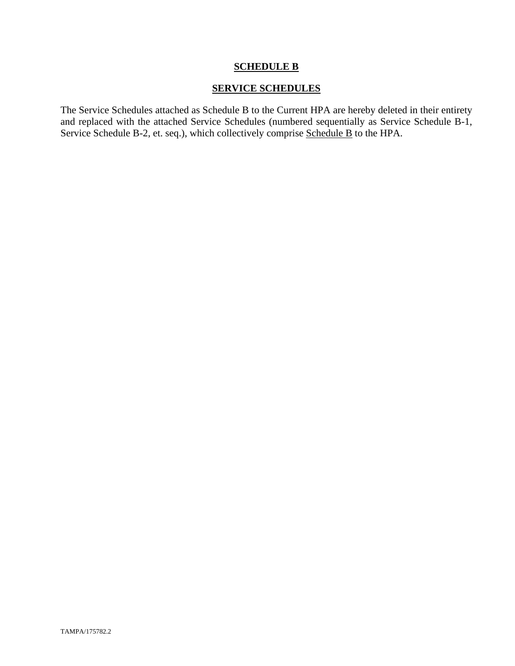## **SCHEDULE B**

# **SERVICE SCHEDULES**

The Service Schedules attached as Schedule B to the Current HPA are hereby deleted in their entirety and replaced with the attached Service Schedules (numbered sequentially as Service Schedule B-1, Service Schedule B-2, et. seq.), which collectively comprise Schedule B to the HPA.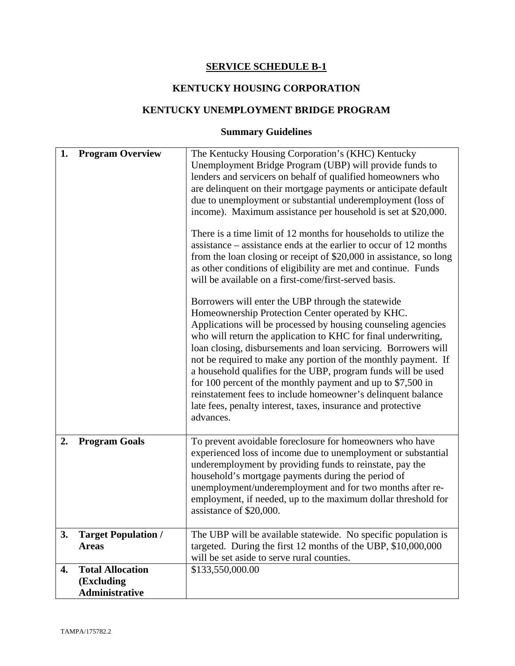## **SERVICE SCHEDULE B-1**

# **KENTUCKY HOUSING CORPORATION**

# **KENTUCKY UNEMPLOYMENT BRIDGE PROGRAM**

# **Summary Guidelines**

| 1. | <b>Program Overview</b>                                 | The Kentucky Housing Corporation's (KHC) Kentucky<br>Unemployment Bridge Program (UBP) will provide funds to<br>lenders and servicers on behalf of qualified homeowners who<br>are delinquent on their mortgage payments or anticipate default<br>due to unemployment or substantial underemployment (loss of<br>income). Maximum assistance per household is set at \$20,000.<br>There is a time limit of 12 months for households to utilize the<br>assistance – assistance ends at the earlier to occur of 12 months<br>from the loan closing or receipt of \$20,000 in assistance, so long<br>as other conditions of eligibility are met and continue. Funds<br>will be available on a first-come/first-served basis.<br>Borrowers will enter the UBP through the statewide<br>Homeownership Protection Center operated by KHC.<br>Applications will be processed by housing counseling agencies<br>who will return the application to KHC for final underwriting,<br>loan closing, disbursements and loan servicing. Borrowers will<br>not be required to make any portion of the monthly payment. If<br>a household qualifies for the UBP, program funds will be used<br>for 100 percent of the monthly payment and up to $$7,500$ in<br>reinstatement fees to include homeowner's delinquent balance<br>late fees, penalty interest, taxes, insurance and protective<br>advances. |
|----|---------------------------------------------------------|------------------------------------------------------------------------------------------------------------------------------------------------------------------------------------------------------------------------------------------------------------------------------------------------------------------------------------------------------------------------------------------------------------------------------------------------------------------------------------------------------------------------------------------------------------------------------------------------------------------------------------------------------------------------------------------------------------------------------------------------------------------------------------------------------------------------------------------------------------------------------------------------------------------------------------------------------------------------------------------------------------------------------------------------------------------------------------------------------------------------------------------------------------------------------------------------------------------------------------------------------------------------------------------------------------------------------------------------------------------------------------------|
| 2. | <b>Program Goals</b>                                    | To prevent avoidable foreclosure for homeowners who have<br>experienced loss of income due to unemployment or substantial<br>underemployment by providing funds to reinstate, pay the<br>household's mortgage payments during the period of<br>unemployment/underemployment and for two months after re-<br>employment, if needed, up to the maximum dollar threshold for<br>assistance of \$20,000.                                                                                                                                                                                                                                                                                                                                                                                                                                                                                                                                                                                                                                                                                                                                                                                                                                                                                                                                                                                     |
| 3. | <b>Target Population /</b><br><b>Areas</b>              | The UBP will be available statewide. No specific population is<br>targeted. During the first 12 months of the UBP, \$10,000,000<br>will be set aside to serve rural counties.                                                                                                                                                                                                                                                                                                                                                                                                                                                                                                                                                                                                                                                                                                                                                                                                                                                                                                                                                                                                                                                                                                                                                                                                            |
| 4. | <b>Total Allocation</b><br>(Excluding<br>Administrative | \$133,550,000.00                                                                                                                                                                                                                                                                                                                                                                                                                                                                                                                                                                                                                                                                                                                                                                                                                                                                                                                                                                                                                                                                                                                                                                                                                                                                                                                                                                         |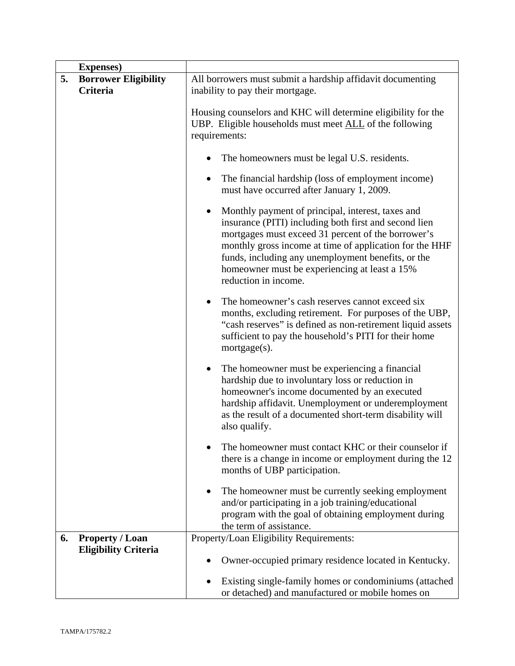| <b>Expenses</b> )                                           |                                                                                                                                                                                                                                                                                                                                                            |
|-------------------------------------------------------------|------------------------------------------------------------------------------------------------------------------------------------------------------------------------------------------------------------------------------------------------------------------------------------------------------------------------------------------------------------|
| 5.<br><b>Borrower Eligibility</b>                           | All borrowers must submit a hardship affidavit documenting                                                                                                                                                                                                                                                                                                 |
| Criteria                                                    | inability to pay their mortgage.                                                                                                                                                                                                                                                                                                                           |
|                                                             | Housing counselors and KHC will determine eligibility for the<br>UBP. Eligible households must meet ALL of the following<br>requirements:<br>The homeowners must be legal U.S. residents.<br>The financial hardship (loss of employment income)                                                                                                            |
|                                                             | must have occurred after January 1, 2009.                                                                                                                                                                                                                                                                                                                  |
|                                                             | Monthly payment of principal, interest, taxes and<br>insurance (PITI) including both first and second lien<br>mortgages must exceed 31 percent of the borrower's<br>monthly gross income at time of application for the HHF<br>funds, including any unemployment benefits, or the<br>homeowner must be experiencing at least a 15%<br>reduction in income. |
|                                                             | The homeowner's cash reserves cannot exceed six<br>٠<br>months, excluding retirement. For purposes of the UBP,<br>"cash reserves" is defined as non-retirement liquid assets<br>sufficient to pay the household's PITI for their home<br>mortgage(s).                                                                                                      |
|                                                             | The homeowner must be experiencing a financial<br>٠<br>hardship due to involuntary loss or reduction in<br>homeowner's income documented by an executed<br>hardship affidavit. Unemployment or underemployment<br>as the result of a documented short-term disability will<br>also qualify.                                                                |
|                                                             | The homeowner must contact KHC or their counselor if<br>there is a change in income or employment during the 12<br>months of UBP participation.                                                                                                                                                                                                            |
|                                                             | The homeowner must be currently seeking employment<br>and/or participating in a job training/educational<br>program with the goal of obtaining employment during<br>the term of assistance.                                                                                                                                                                |
| <b>Property / Loan</b><br>6.<br><b>Eligibility Criteria</b> | Property/Loan Eligibility Requirements:                                                                                                                                                                                                                                                                                                                    |
|                                                             | Owner-occupied primary residence located in Kentucky.                                                                                                                                                                                                                                                                                                      |
|                                                             | Existing single-family homes or condominiums (attached<br>or detached) and manufactured or mobile homes on                                                                                                                                                                                                                                                 |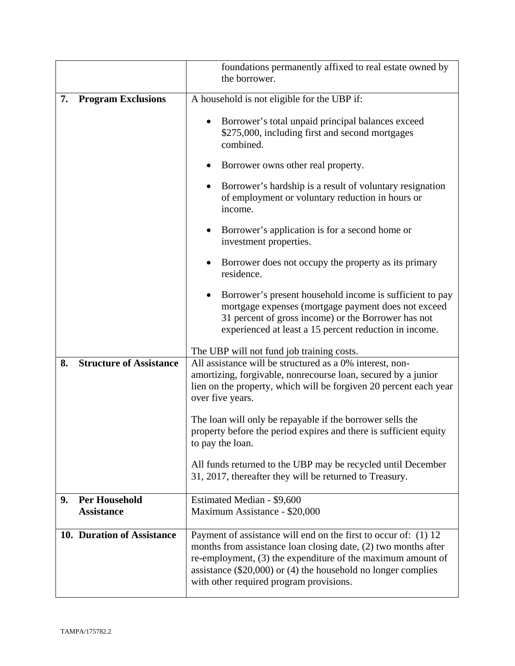|                                                 | foundations permanently affixed to real estate owned by<br>the borrower.                                                                                                                                                                                                                                         |  |
|-------------------------------------------------|------------------------------------------------------------------------------------------------------------------------------------------------------------------------------------------------------------------------------------------------------------------------------------------------------------------|--|
| 7.<br><b>Program Exclusions</b>                 | A household is not eligible for the UBP if:                                                                                                                                                                                                                                                                      |  |
|                                                 | Borrower's total unpaid principal balances exceed<br>$\bullet$<br>\$275,000, including first and second mortgages<br>combined.                                                                                                                                                                                   |  |
|                                                 | Borrower owns other real property.                                                                                                                                                                                                                                                                               |  |
|                                                 | Borrower's hardship is a result of voluntary resignation<br>$\bullet$<br>of employment or voluntary reduction in hours or<br>income.                                                                                                                                                                             |  |
|                                                 | Borrower's application is for a second home or<br>$\bullet$<br>investment properties.                                                                                                                                                                                                                            |  |
|                                                 | Borrower does not occupy the property as its primary<br>$\bullet$<br>residence.                                                                                                                                                                                                                                  |  |
|                                                 | Borrower's present household income is sufficient to pay<br>$\bullet$<br>mortgage expenses (mortgage payment does not exceed<br>31 percent of gross income) or the Borrower has not<br>experienced at least a 15 percent reduction in income.                                                                    |  |
|                                                 | The UBP will not fund job training costs.                                                                                                                                                                                                                                                                        |  |
| <b>Structure of Assistance</b><br>8.            | All assistance will be structured as a 0% interest, non-<br>amortizing, forgivable, nonrecourse loan, secured by a junior<br>lien on the property, which will be forgiven 20 percent each year<br>over five years.                                                                                               |  |
|                                                 | The loan will only be repayable if the borrower sells the<br>property before the period expires and there is sufficient equity<br>to pay the loan.                                                                                                                                                               |  |
|                                                 | All funds returned to the UBP may be recycled until December<br>31, 2017, thereafter they will be returned to Treasury.                                                                                                                                                                                          |  |
| <b>Per Household</b><br>9.<br><b>Assistance</b> | Estimated Median - \$9,600<br>Maximum Assistance - \$20,000                                                                                                                                                                                                                                                      |  |
| 10. Duration of Assistance                      | Payment of assistance will end on the first to occur of: (1) 12<br>months from assistance loan closing date, (2) two months after<br>re-employment, (3) the expenditure of the maximum amount of<br>assistance $(\$20,000)$ or $(4)$ the household no longer complies<br>with other required program provisions. |  |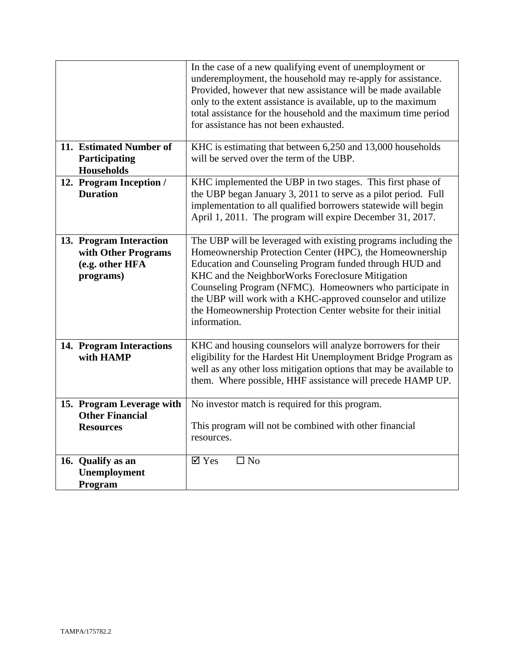|                                                                                | In the case of a new qualifying event of unemployment or<br>underemployment, the household may re-apply for assistance.<br>Provided, however that new assistance will be made available<br>only to the extent assistance is available, up to the maximum<br>total assistance for the household and the maximum time period<br>for assistance has not been exhausted.                                                                                  |
|--------------------------------------------------------------------------------|-------------------------------------------------------------------------------------------------------------------------------------------------------------------------------------------------------------------------------------------------------------------------------------------------------------------------------------------------------------------------------------------------------------------------------------------------------|
| 11. Estimated Number of<br>Participating<br><b>Households</b>                  | KHC is estimating that between 6,250 and 13,000 households<br>will be served over the term of the UBP.                                                                                                                                                                                                                                                                                                                                                |
| 12. Program Inception /<br><b>Duration</b>                                     | KHC implemented the UBP in two stages. This first phase of<br>the UBP began January 3, 2011 to serve as a pilot period. Full<br>implementation to all qualified borrowers statewide will begin<br>April 1, 2011. The program will expire December 31, 2017.                                                                                                                                                                                           |
| 13. Program Interaction<br>with Other Programs<br>(e.g. other HFA<br>programs) | The UBP will be leveraged with existing programs including the<br>Homeownership Protection Center (HPC), the Homeownership<br>Education and Counseling Program funded through HUD and<br>KHC and the NeighborWorks Foreclosure Mitigation<br>Counseling Program (NFMC). Homeowners who participate in<br>the UBP will work with a KHC-approved counselor and utilize<br>the Homeownership Protection Center website for their initial<br>information. |
| 14. Program Interactions<br>with HAMP                                          | KHC and housing counselors will analyze borrowers for their<br>eligibility for the Hardest Hit Unemployment Bridge Program as<br>well as any other loss mitigation options that may be available to<br>them. Where possible, HHF assistance will precede HAMP UP.                                                                                                                                                                                     |
| 15. Program Leverage with<br><b>Other Financial</b><br><b>Resources</b>        | No investor match is required for this program.<br>This program will not be combined with other financial<br>resources.                                                                                                                                                                                                                                                                                                                               |
| 16. Qualify as an<br>Unemployment<br>Program                                   | $\overline{\mathsf{M}}$ Yes<br>$\square$ No                                                                                                                                                                                                                                                                                                                                                                                                           |